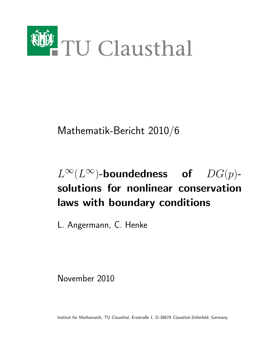

Mathematik-Bericht 2010/6

# $L^{\infty}(L^{\infty})$ -boundedness of  $DG(p)$ solutions for nonlinear conservation laws with boundary conditions

L. Angermann, C. Henke

November 2010

Institut für Mathematik, TU Clausthal, Erzstraße 1, D-38678 Clausthal-Zellerfeld, Germany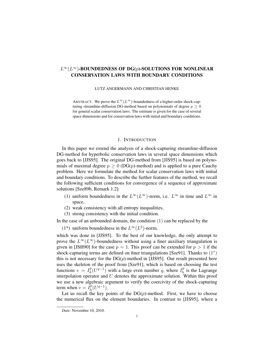# $L^{\infty}(L^{\infty})$ -BOUNDEDNESS OF DG(p)-SOLUTIONS FOR NONLINEAR CONSERVATION LAWS WITH BOUNDARY CONDITIONS

LUTZ ANGERMANN AND CHRISTIAN HENKE

ABSTRACT. We prove the  $L^{\infty}(L^{\infty})$ -boundedness of a higher-order shock-capturing streamline-diffusion DG-method based on polynomials of degree  $p \geq 0$ for general scalar conservation laws. The estimate is given for the case of several space dimensions and for conservation laws with initial and boundary conditions.

#### 1. INTRODUCTION

In this paper we extend the analysis of a shock-capturing streamline-diffusion DG-method for hyperbolic conservation laws in several space dimensions which goes back to [JJS95]. The original DG-method from [JJS95] is based on polynomials of maximal degree  $p \geq 0$  (DG(p)-method) and is applied to a pure Cauchy problem. Here we formulate the method for scalar conservation laws with initial and boundary conditions. To describe the further features of the method, we recall the following sufficient conditions for convergence of a sequence of approximate solutions [Sze89b, Remark 1.2]:

- (1) uniform boundedness in the  $L^{\infty}(L^{\infty})$ -norm, i.e.  $L^{\infty}$  in time and  $L^{\infty}$  in space,
- (2) weak consistency with all entropy inequalities,
- (3) strong consistency with the initial condition.

In the case of an unbounded domain, the condition  $(1)$  can be replaced by the

(1\*) uniform boundedness in the  $L^{\infty}(L^2)$ -norm,

which was done in [JJS95]. To the best of our knowledge, the only attempt to prove the  $L^{\infty}(L^{\infty})$ -boundedness without using a finer auxiliary triangulation is given in [JSH90] for the case  $p = 1$ . This proof can be extended for  $p > 1$  if the shock-capturing terms are defined on finer triangulations [Sze91]. Thanks to  $(1^*)$ this is not necessary for the  $DG(p)$ -method in [JJS95]. Our result presented here uses the skeleton of the proof from [Sze91], which is based on choosing the test functions  $v = I_h^p$  $h^p(h(U^{q-1})$  with a large even number q, where  $I^p_h$  $h<sup>p</sup>$  is the Lagrange interpolation operator and  $U$  denotes the approximate solution. Within this proof we use a new algebraic argument to verify the coercivity of the shock-capturing term when  $v = I_h^p$  $_{h}^{p}(U^{q-1}).$ 

Let us recall the key points of the  $DG(p)$ -method. First, we have to choose the numerical flux on the element boundaries. In contrast to [JJS95], where a

*Date*: November 10, 2010.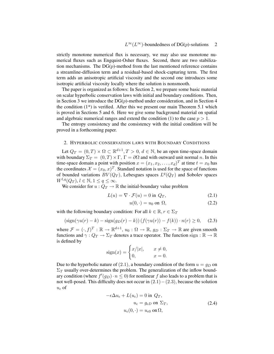strictly monotone numerical flux is necessary, we may also use monotone numerical fluxes such as Engquist-Osher fluxes. Second, there are two stabilization mechanisms. The  $DG(p)$ -method from the last mentioned reference contains a streamline-diffusion term and a residual-based shock-capturing term. The first term adds an anisotropic artificial viscosity and the second one introduces some isotropic artificial viscosity locally where the solution is nonsmooth.

The paper is organized as follows: In Section 2, we prepare some basic material on scalar hyperbolic conservation laws with initial and boundary conditions. Then, in Section 3 we introduce the  $DG(p)$ -method under consideration, and in Section 4 the condition  $(1^*)$  is verified. After this we present our main Theorem 5.1 which is proved in Sections 5 and 6. Here we give some background material on spatial and algebraic numerical ranges and extend the condition (1) to the case  $p > 1$ .

The entropy consistency and the consistency with the initial condition will be proved in a forthcoming paper.

## 2. HYPERBOLIC CONSERVATION LAWS WITH BOUNDARY CONDITIONS

Let  $Q_T = (0,T) \times \Omega \subset \mathbb{R}^{d+1}, T > 0, d \in \mathbb{N}$ , be an open time-space domain with boundary  $\Sigma_T = (0, T) \times \Gamma$ ,  $\Gamma = \partial \Omega$  and with outward unit normal n. In this time-space domain a point with position  $x = (x_1, x_2, \dots, x_d)^T$  at time  $t = x_0$  has the coordinates  $\mathcal{X} = (x_0, x)^T$ . Standard notation is used for the space of functions of bounded variations  $BV(Q_T)$ , Lebesgues spaces  $L^q(Q_T)$  and Sobolev spaces  $W^{l,q}(Q_T), l \in \mathbb{N}, 1 \leq q \leq \infty.$ 

We consider for  $u: Q_T \to \mathbb{R}$  the initial-boundary value problem

$$
L(u) = \nabla \cdot \mathcal{F}(u) = 0 \text{ in } Q_T,
$$
\n(2.1)

$$
u(0, \cdot) = u_0 \text{ on } \Omega,
$$
\n(2.2)

with the following boundary condition: For all  $k \in \mathbb{R}, r \in \Sigma_T$ 

$$
(\text{sign}(\gamma u(r) - k) - \text{sign}(g_D(r) - k)) (f(\gamma u(r)) - f(k)) \cdot n(r) \ge 0,
$$
 (2.3)

where  $\mathcal{F} = (\cdot, f)^T : \mathbb{R} \to \mathbb{R}^{d+1}$ ,  $u_0 : \Omega \to \mathbb{R}$ ,  $g_D : \Sigma_T \to \mathbb{R}$  are given smooth functions and  $\gamma: Q_T \to \Sigma_T$  denotes a trace operator. The function sign :  $\mathbb{R} \to \mathbb{R}$ is defined by

$$
sign(x) = \begin{cases} x/|x|, & x \neq 0, \\ 0, & x = 0. \end{cases}
$$

Due to the hyperbolic nature of  $(2.1)$ , a boundary condition of the form  $u = g_D$  on  $\Sigma_T$  usually over-determines the problem. The generalization of the inflow boundary condition (where  $f'(g_D) \cdot n \leq 0$ ) for nonlinear f also leads to a problem that is not well-posed. This difficulty does not occur in  $(2.1)-(2.3)$ , because the solution  $u_{\epsilon}$  of

$$
-\epsilon \Delta u_{\epsilon} + L(u_{\epsilon}) = 0 \text{ in } Q_T,
$$
  

$$
u_{\epsilon} = g_{\epsilon D} \text{ on } \Sigma_T,
$$
  

$$
u_{\epsilon}(0, \cdot) = u_{\epsilon 0} \text{ on } \Omega,
$$
 (2.4)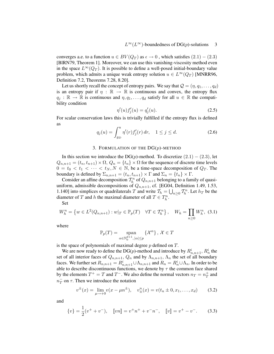converges a.e. to a function  $u \in BV(Q_T)$  as  $\epsilon \to 0$ , which satisfies  $(2.1) - (2.3)$ [BlRN79, Theorem 1]. Moreover, we can use this vanishing-viscosity method even in the space  $L^{\infty}(Q_T)$ . It is possible to define a well-posed initial-boundary value problem, which admits a unique weak entropy solution  $u \in L^{\infty}(Q_T)$  [MNRR96, Definition 7.2, Theorems 7.28, 8.20].

Let us shortly recall the concept of entropy pairs. We say that  $\mathcal{Q} = (\eta, q_1, \dots, q_d)$ is an entropy pair if  $\eta : \mathbb{R} \to \mathbb{R}$  is continuous and convex, the entropy flux  $q_j : \mathbb{R} \to \mathbb{R}$  is continuous and  $\eta, q_1, \ldots, q_d$  satisfy for all  $u \in \mathbb{R}$  the compatibility condition

$$
\eta'(u)f_j'(u) = q_j'(u). \tag{2.5}
$$

For scalar conservation laws this is trivially fulfilled if the entropy flux is defined as

$$
q_j(u) = \int_{g_D}^u \eta'(r) f'_j(r) \, dr, \quad 1 \le j \le d. \tag{2.6}
$$

#### 3. FORMULATION OF THE  $DG(p)$ -METHOD

In this section we introduce the DG(p)-method. To discretize  $(2.1) - (2.3)$ , let  $Q_{n,n+1} = (t_n, t_{n+1}) \times \Omega$ ,  $Q_n = \{t_n\} \times \Omega$  for the sequence of discrete time levels  $0 = t_0 < t_1 < \cdots < t_N, N \in \mathbb{N}$ , be a time-space decomposition of  $Q_T$ . The boundary is defined by  $\Sigma_{n,n+1} = (t_n, t_{n+1}) \times \Gamma$  and  $\Sigma_n = \{t_n\} \times \Gamma$ .

Consider an affine decomposition  $\mathcal{T}_h^n$  of  $Q_{n,n+1}$  belonging to a family of quasiuniform, admissible decompositions of  $Q_{n,n+1}$ , cf. [EG04, Definition 1.49, 1.53, 1.140] into simplices or quadrilaterals T and write  $\mathcal{T}_h = \bigcup_{n \geq 0} \mathcal{T}_h^n$ . Let  $h_T$  be the diameter of T and h the maximal diameter of all  $T \in T_h^n$ .

Set

$$
W_h^n = \left\{ w \in L^2(Q_{n,n+1}) : w|_T \in \mathbb{P}_p(T) \quad \forall T \in \mathcal{T}_h^n \right\}, \quad W_h = \prod_{n \ge 0} W_h^n, \tag{3.1}
$$

where

$$
\mathbb{P}_p(T) = \text{span}_{\alpha \in \mathbb{N}_0^{d+1}, |\alpha| \le p} \left\{ \mathcal{X}^{\alpha} \right\}, \, \mathcal{X} \in T
$$

is the space of polynomials of maximal degree  $p$  defined on  $T$ .

We are now ready to define the DG(p)-method and introduce by  $R^i_{n,n+1}, R^i_n$  the set of all interior faces of  $Q_{n,n+1}$ ,  $Q_n$  and by  $\Lambda_{n,n+1}$ ,  $\Lambda_n$  the set of all boundary faces. We further set  $R_{n,n+1} = R_{n,n+1}^i \cup \Lambda_{n,n+1}$  and  $R_n = R_n^i \cup \Lambda_n$ . In order to be able to describe discontinuous functions, we denote by  $\tau$  the common face shared by the elements  $T^+ = T$  and  $T^-$ . We also define the normal vectors  $n_T = n_T^+$  and  $n<sub>T</sub>$  on  $\tau$ . Then we introduce the notation

$$
v^{\pm}(x) = \lim_{\mu \to +0} v(x - \mu n^{\pm}), \quad v_{\pm}^{n}(x) = v(t_{n} \pm 0, x_{1}, \dots, x_{d}) \tag{3.2}
$$

and

$$
\{v\} = \frac{1}{2}(v^+ + v^-), \quad [vn] = v^+n^+ + v^-n^-, \quad [vv] = v^+ - v^-.
$$
 (3.3)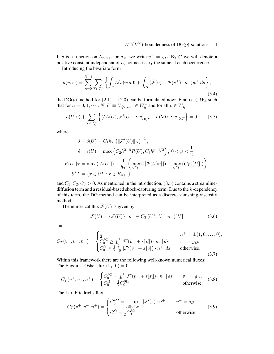If v is a function on  $\Lambda_{n,n+1}$  or  $\Lambda_n$ , we write  $v^- = g_D$ . By C we will denote a positive constant independent of h, not necessary the same at each occurrence.

Introducing the bivariate form

$$
a(v, w) = \sum_{n=0}^{N-1} \sum_{T \in \mathcal{T}_h^n} \left\{ \int_T L(v) w \, d\mathcal{X} + \int_{\partial T} (\hat{\mathcal{F}}(v) - \mathcal{F}(v^+) \cdot n^+) w^+ \, ds \right\},\tag{3.4}
$$

the DG(p)-method for  $(2.1) - (2.3)$  can be formulated now: Find  $U \in W_h$  such that for  $n = 0, 1, \dotsb, N, U \equiv U_{Q_{n,n+1}} \in W_h^n$  and for all  $v \in W_h^n$ 

$$
a(U,v) + \sum_{T \in \mathcal{T}_h^n} \left\{ \left( \delta L(U), \mathcal{F}'(U) \cdot \nabla v \right)_{0,T} + \hat{\epsilon} \left( \nabla U, \nabla v \right)_{0,T} \right\} = 0, \quad (3.5)
$$

where

$$
\delta = \delta(U) = C_1 h_T \left( \|\mathcal{F}'(U)\|_{l^2} \right)^{-1},
$$
  
\n
$$
\hat{\epsilon} = \hat{\epsilon}(U) = \max \left( C_2 h^{2-\beta} R(U), C_3 h^{p+1/2} \right), \ 0 < \beta < \frac{1}{2},
$$
  
\n
$$
R(U)|_T = \max_T \left( |L(U)| \right) + \frac{1}{h_T} \left( \max_{\partial^* T} \left( \|\mathcal{F}(U)n\| \right) + \max_{\partial^* T} \left( C_T \|\mathcal{U}\| \right) \right),
$$
  
\n
$$
\partial^* T = \{ x \in \partial T : x \notin R_{n+1} \}
$$

and  $C_1, C_2, C_3 > 0$ . As mentioned in the introduction, (3.5) contains a streamlinediffusion term and a residual-based shock-capturing term. Due to the h-dependency of this term, the DG-method can be interpreted as a discrete vanishing-viscosity method.

The numerical flux  $\mathcal{F}(U)$  is given by

$$
\hat{\mathcal{F}}(U) = \{\mathcal{F}(U)\}\cdot n^+ + C_T(U^+, U^-, n^+)\llbracket U\rrbracket \tag{3.6}
$$

and

$$
C_T(v^+, v^-, n^+) = \begin{cases} \frac{1}{2} & n^+ = \pm (1, 0, \dots, 0), \\ C_0^{3\Omega} \ge \int_0^1 |\mathcal{F}'(v^- + s[\![v]\!]) \cdot n^+| \, ds & v^- = g_D, \\ C_0^{\Omega} \ge \frac{1}{2} \int_0^1 |\mathcal{F}'(v^- + s[\![v]\!]) \cdot n^+| \, ds & \text{otherwise.} \end{cases}
$$
\n(3.7)

Within this framework there are the following well-known numerical fluxes: The Engquist-Osher flux if  $f(0) = 0$ :

$$
C_T(v^+, v^-, n^+) = \begin{cases} C_0^{\partial \Omega} = \int_0^1 |\mathcal{F}'(v^- + s\|v\|) \cdot n^+| ds & v^- = g_D, \\ C_0^{\Omega} = \frac{1}{2} C_0^{\partial \Omega} & \text{otherwise.} \end{cases}
$$
 (3.8)

The Lax-Friedrichs flux:

$$
C_T(v^+, v^-, n^+) = \begin{cases} C_0^{\partial \Omega} = \sup_{z \in [v^+, v^-]} |\mathcal{F}'(z) \cdot n^+| & v^- = g_D, \\ C_0^{\Omega} = \frac{1}{2} C_0^{\partial \Omega} & \text{otherwise.} \end{cases}
$$
(3.9)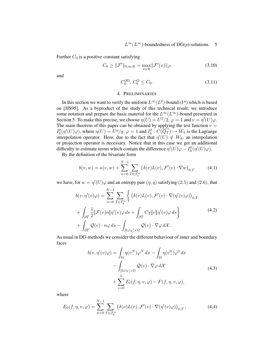Further  $C_0$  is a positive constant satisfying

$$
C_0 \ge ||\mathcal{F}'||_{0,\infty,\mathbb{R}} = \max_{x \in \mathbb{R}} ||\mathcal{F}'(x)||_{l^2}
$$
\n(3.10)

and

$$
C_0^{\partial\Omega}, C_0^{\Omega} \le C_0. \tag{3.11}
$$

## 4. PRELIMINARIES

In this section we want to verify the uniform  $L^{\infty}(L^2)$ -bound (1\*) which is based on [JJS95]. As a byproduct of the study of this technical result, we introduce some notation and prepare the basic material for the  $L^{\infty}(L^{\infty})$ -bound presented in Section 5. To make this precise, we choose  $\eta(U) = U^2/2$ ,  $\varphi = 1$  and  $v = \eta'(U)\varphi$ . The main theorem of this paper can be obtained by applying the test function  $v =$  $I_h^p$  $h_h^p(\eta'(U)\varphi)$ , where  $\eta(U) = U^q/q$ ,  $\varphi = 1$  and  $I_h^p$  $h^p_i: C(\overline{Q_T}) \to W_h$  is the Lagrange interpolation operator. Here, due to the fact that  $\eta'(U) \notin W_h$ , an interpolation or projection operator is necessary. Notice that in this case we get an additional difficulty to estimate terms which contain the difference  $\eta'(U)\varphi - I_h^p$  $_{h}^{p}(\eta'(U)\varphi).$ 

By the definition of the bivariate form

$$
b(v, w) = a(v, w) + \sum_{n=0}^{N-1} \sum_{T \in \mathcal{T}_h^n} (\delta(v)L(v), \mathcal{F}'(v) \cdot \nabla w)_{0,T}
$$
(4.1)

we have, for  $w = \eta'(U)\varphi$  and an entropy pair  $(\eta, q)$  satisfying (2.5) and (2.6), that

$$
b(v, \eta'(v)\varphi) = \sum_{n=0}^{N-1} \sum_{T \in \mathcal{T}_h^n} \left\{ \left( \delta(v)L(v), \mathcal{F}'(v) \cdot \nabla(\eta'(v)\varphi) \right)_{0,T} \right.+ \int_{\partial T} \frac{1}{2} \llbracket \mathcal{F}(v)n \rrbracket \eta'(v)\varphi \, ds + \int_{\partial T} C_T \llbracket v \rrbracket \eta'(v)\varphi \, ds \right\}+ \int_{\partial T} \mathcal{Q}(v) \cdot n\varphi \, ds - \int_{[0,t_N] \times \Omega} \mathcal{Q}(v) \cdot \nabla \varphi \, d\mathcal{X}.
$$
 (4.2)

As usual in DG-methods we consider the different behaviour of inner and boundary faces

$$
b(v, \eta'(v)\varphi) = \int_{\Omega} \eta(v_{-}^{N}) \varphi^{N} dx - \int_{\Omega} \eta(v_{-}^{0}) \varphi^{0} dx
$$

$$
- \int_{[0, t_{N}] \times \Omega} \mathcal{Q}(v) \cdot \nabla \varphi d\mathcal{X}
$$

$$
+ \sum_{i=0}^{5} E_{i}(f, \eta, v, \varphi) - F(f, \eta, v, \varphi), \qquad (4.3)
$$

where

$$
E_0(f, \eta, v, \varphi) = \sum_{n=0}^{N-1} \sum_{T \in \mathcal{T}_h^n} \left( \delta(v) L(v), \mathcal{F}'(v) \cdot \nabla(\eta'(v)\varphi) \right)_{0,T}, \tag{4.4}
$$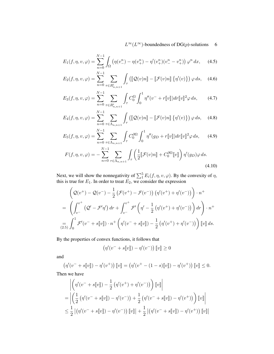$$
E_1(f, \eta, v, \varphi) = \sum_{n=0}^{N-1} \int_{\Omega} \left( \eta(v_{-}^n) - \eta(v_{+}^n) - \eta'(v_{+}^n)(v_{-}^n - v_{+}^n) \right) \varphi^n dx, \tag{4.5}
$$

$$
E_2(f, \eta, v, \varphi) = \sum_{n=0}^{N-1} \sum_{\tau \in R_{n,n+1}^i} \int_{\tau} \left( [\![\mathcal{Q}(v)n] \!] - [\![\mathcal{F}(v)n] \!] \left\{ \eta'(v) \right\} \right) \varphi \, ds,\tag{4.6}
$$

$$
E_3(f, \eta, v, \varphi) = \sum_{n=0}^{N-1} \sum_{\tau \in R_{n,n+1}^i} \int_{\tau} C_0^{\Omega} \int_0^1 \eta''(v^- + r[v]) dr [v]^2 \varphi ds, \qquad (4.7)
$$

$$
E_4(f,\eta,v,\varphi) = \sum_{n=0}^{N-1} \sum_{\tau \in \Lambda_{n,n+1}} \int_{\tau} \left( \left[ \mathcal{Q}(v)n \right] - \left[ \mathcal{F}(v)n \right] \left\{ \eta'(v) \right\} \right) \varphi \, ds, \quad (4.8)
$$

$$
E_5(f, \eta, v, \varphi) = \sum_{n=0}^{N-1} \sum_{\tau \in \Lambda_{n,n+1}} \int_{\tau} C_0^{\partial \Omega} \int_0^1 \eta''(g_D + r[\![v]\!]) dr[\![v]\!]^2 \varphi \, ds,\tag{4.9}
$$

$$
F(f,\eta,v,\varphi) = -\sum_{n=0}^{N-1} \sum_{\tau \in \Lambda_{n,n+1}} \int_{\tau} \left( \frac{1}{2} [\![\mathcal{F}(v)n]\!] + C_0^{\partial \Omega} [\![v]\!] \right) \eta'(g_D) \varphi \, ds.
$$
\n(4.10)

Next, we will show the nonnegativity of  $\sum_{i=1}^{5} E_i(f, \eta, v, \varphi)$ . By the convexity of  $\eta$ , this is true for  $E_1$ . In order to treat  $E_2$ , we consider the expression

$$
\left(Q(v^+) - Q(v^-) - \frac{1}{2} \left(\mathcal{F}(v^+) - \mathcal{F}(v^-)\right) \left(\eta'(v^+) + \eta'(v^-)\right)\right) \cdot n^+
$$
\n
$$
= \left(\int_{v^-}^{v^+} \left(Q' - \mathcal{F}'\eta'\right) dr + \int_{v^-}^{v^+} \mathcal{F}'\left(\eta' - \frac{1}{2} \left(\eta'(v^+) + \eta'(v^-)\right)\right) dr\right) \cdot n^+
$$
\n
$$
= \int_0^1 \mathcal{F}'(v^- + s[\![v]\!]) \cdot n^+ \left(\eta'(v^- + s[\![v]\!]) - \frac{1}{2} \left(\eta'(v^+) + \eta'(v^-)\right)\right) [\![v]\!] \, ds.
$$

By the properties of convex functions, it follows that

$$
\left(\eta'(v^- + s[\![v]\!]) - \eta'(v^-)\right)[\![v]\!] \ge 0
$$

and

$$
(\eta'(v^- + s[\![v]\!]) - \eta'(v^+)) [\![v]\!] = (\eta'(v^+ - (1-s)[\![v]\!]) - \eta'(v^+)) [\![v]\!] \le 0.
$$

Then we have

$$
\left| \left( \eta'(v^- + s[v]) - \frac{1}{2} \left( \eta'(v^+) + \eta'(v^-) \right) \right] [v] \right|
$$
  
= 
$$
\left| \left( \frac{1}{2} \left( \eta'(v^- + s[v]) - \eta'(v^-) \right) + \frac{1}{2} \left( \eta'(v^- + s[v]) - \eta'(v^+) \right) \right] [v] \right|
$$
  

$$
\leq \frac{1}{2} \left| \left( \eta'(v^- + s[v]) - \eta'(v^-) \right) [v] \right| + \frac{1}{2} \left| \left( \eta'(v^- + s[v]) - \eta'(v^+) \right) [v] \right|
$$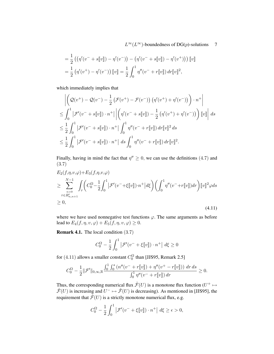$$
= \frac{1}{2} \left( \left( \eta'(v^- + s[\![v]\!]) - \eta'(v^-) \right) - \left( \eta'(v^- + s[\![v]\!]) - \eta'(v^+) \right) \right) [\![v]\!]
$$
  

$$
= \frac{1}{2} \left( \eta'(v^+) - \eta'(v^-) \right) [\![v]\!] = \frac{1}{2} \int_0^1 \eta''(v^- + r[\![v]\!]) dr [\![v]\!]^2,
$$

which immediately implies that

$$
\left| \left( \mathcal{Q}(v^+) - \mathcal{Q}(v^-) - \frac{1}{2} \left( \mathcal{F}(v^+) - \mathcal{F}(v^-) \right) \left( \eta'(v^+) + \eta'(v^-) \right) \right) \cdot n^+ \right|
$$
  
\n
$$
\leq \int_0^1 |\mathcal{F}'(v^- + s[v]) \cdot n^+| \left| \left( \eta'(v^- + s[v]) - \frac{1}{2} \left( \eta'(v^+) + \eta'(v^-) \right) \right) [v] \right| ds
$$
  
\n
$$
\leq \frac{1}{2} \int_0^1 |\mathcal{F}'(v^- + s[v]) \cdot n^+| \int_0^1 \eta''(v^- + r[v]) dr [v]^2 ds
$$
  
\n
$$
\leq \frac{1}{2} \int_0^1 |\mathcal{F}'(v^- + s[v]) \cdot n^+| ds \int_0^1 \eta''(v^- + r[v]) dr [v]^2.
$$

Finally, having in mind the fact that  $\eta'' \geq 0$ , we can use the definitions (4.7) and (3.7)

$$
E_2(f, \eta, v, \varphi) + E_3(f, \eta, v, \varphi)
$$
  
\n
$$
\geq \sum_{\substack{n=0 \ r \in R_{n,n+1}^i}}^{N-1} \int_{\tau} \left( C_0^{\Omega} - \frac{1}{2} \int_0^1 |\mathcal{F}'(v^- + \xi[\![v]\!]) \cdot n^+ | d\xi \right) \left( \int_0^1 \eta''(v^- + r[\![v]\!]) dr \right) [\![v]\!]^2 \varphi ds
$$
  
\n
$$
\geq 0,
$$
\n(4.11)

where we have used nonnegative test functions  $\varphi$ . The same arguments as before lead to  $E_4(f, \eta, v, \varphi) + E_5(f, \eta, v, \varphi) \geq 0$ .

**Remark 4.1.** The local condition  $(3.7)$ 

$$
C_0^{\Omega} - \frac{1}{2} \int_0^1 \left| \mathcal{F}'(v^- + \xi[\![v]\!]) \cdot n^+ \right| d\xi \ge 0
$$

for (4.11) allows a smaller constant  $C_0^{\Omega}$  than [JJS95, Remark 2.5]

$$
C_0^{\Omega} - \frac{1}{2} \|\mathcal{F}'\|_{0,\infty,\mathbb{R}} \frac{\int_0^1 \int_0^s (n''(v^- + r[\![v]\!]) + \eta''(v^+ - r[\![v]\!])) \, dr \, ds}{\int_0^1 \eta''(v^- + r[\![v]\!]) \, dr} \geq 0.
$$

Thus, the corresponding numerical flux  $\hat{\mathcal{F}}(U)$  is a monotone flux function  $(U^+ \mapsto$  $\mathcal{F}(U)$  is increasing and  $U^- \mapsto \mathcal{F}(U)$  is decreasing). As mentioned in [JJS95], the requirement that  $\mathcal{F}(U)$  is a strictly monotone numerical flux, e.g.

$$
C_0^{\Omega} - \frac{1}{2} \int_0^1 \left| \mathcal{F}'(v^- + \xi \llbracket v \rrbracket) \cdot n^+ \right| d\xi \ge \epsilon > 0,
$$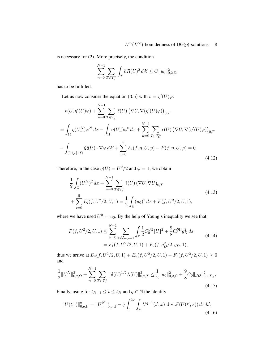is necessary for (2). More precisely, the condition

$$
\sum_{n=0}^{N-1} \sum_{T \in \mathcal{T}_h^n} \int_T hR(U)^2 dX \le C \|u_0\|_{0,2,\Omega}^2
$$

has to be fulfilled.

Let us now consider the equation (3.5) with  $v = \eta'(U)\varphi$ :

$$
b(U, \eta'(U)\varphi) + \sum_{n=0}^{N-1} \sum_{T \in \mathcal{T}_h^n} \hat{\epsilon}(U) \left(\nabla U, \nabla(\eta'(U)\varphi)\right)_{0,T}
$$
  
\n
$$
= \int_{\Omega} \eta(U_{-}^N)\varphi^N dx - \int_{\Omega} \eta(U_{-}^0)\varphi^0 dx + \sum_{n=0}^{N-1} \sum_{T \in \mathcal{T}_h^n} \hat{\epsilon}(U) \left(\nabla U, \nabla(\eta'(U)\varphi)\right)_{0,T}
$$
  
\n
$$
- \int_{[0,t_N] \times \Omega} \mathcal{Q}(U) \cdot \nabla \varphi d\mathcal{X} + \sum_{i=0}^{5} E_i(f, \eta, U, \varphi) - F(f, \eta, U, \varphi) = 0.
$$
\n(4.12)

Therefore, in the case  $\eta(U) = U^2/2$  and  $\varphi = 1$ , we obtain

$$
\frac{1}{2} \int_{\Omega} (U_{-}^{N})^{2} dx + \sum_{n=0}^{N-1} \sum_{T \in \mathcal{T}_{h}^{n}} \hat{\epsilon}(U) (\nabla U, \nabla U)_{0,T}
$$
\n
$$
+ \sum_{i=0}^{5} E_{i}(f, U^{2}/2, U, 1) = \frac{1}{2} \int_{\Omega} (u_{0})^{2} dx + F(f, U^{2}/2, U, 1), \tag{4.13}
$$

where we have used  $U_{-}^{0} = u_0$ . By the help of Young's inequality we see that

$$
F(f, U^2/2, U, 1) \le \sum_{n=0}^{N-1} \sum_{\tau \in \Lambda_{n,n+1}} \int_{\tau} \frac{1}{2} C_0^{\partial \Omega} [U]^2 + \frac{9}{8} C_0^{\partial \Omega} g_D^2 ds
$$
  
=  $F_1(f, U^2/2, U, 1) + F_2(f, g_D^2/2, g_D, 1),$  (4.14)

thus we arrive at  $E_4(f, U^2/2, U, 1) + E_5(f, U^2/2, U, 1) - F_1(f, U^2/2, U, 1) \ge 0$ and

$$
\frac{1}{2}||U_{-}^{N}||_{0,2,\Omega}^{2} + \sum_{n=0}^{N-1} \sum_{T \in \mathcal{T}_{h}^{n}} ||\delta(U)^{1/2}L(U)||_{0,2,T}^{2} \le \frac{1}{2}||u_{0}||_{0,2,\Omega}^{2} + \frac{9}{8}C_{0}||g_{D}||_{0,2,\Sigma_{T}}^{2}.
$$
\n(4.15)

Finally, using for  $t_{N-1} \le t \le t_N$  and  $q \in \mathbb{N}$  the identity

$$
||U(t, \cdot)||_{0,q,\Omega}^q = ||U_-^N||_{0,q,\Omega}^q - q \int_t^{t_N} \int_{\Omega} U^{q-1}(t',x) \, \text{div } \mathcal{F}(U(t',x)) \, dxdt',\tag{4.16}
$$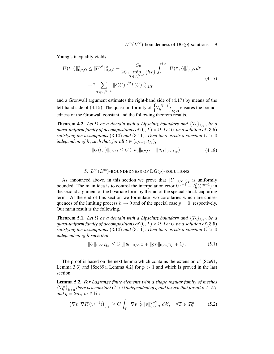Young's inequality yields

$$
||U(t, \cdot)||_{0,2,\Omega}^{2} \leq ||U_{-}^{N}||_{0,2,\Omega}^{2} + \frac{C_{0}}{2C_{1} \min_{T \in \mathcal{T}_{h}^{N-1}} \{h_{T}\}} \int_{t}^{t_{N}} ||U(t', \cdot)||_{0,2,\Omega}^{2} dt'
$$
  
+ 
$$
2 \sum_{T \in \mathcal{T}_{h}^{N-1}} ||\delta(U)^{1/2} L(U)||_{0,2,T}^{2}
$$
(4.17)

and a Gronwall argument estimates the right-hand side of (4.17) by means of the left-hand side of (4.15). The quasi-uniformity of  $\left\{ \mathcal{T}_{h}^{N-1} \right\}$  $\mathcal{L}$ ensures the bound-<br> $h>0$ edness of the Gronwall constant and the following theorem results.

**Theorem 4.2.** Let  $\Omega$  be a domain with a Lipschitz boundary and  $\{T_h\}_{h>0}$  be a *quasi-uniform family of decompositions of*  $(0, T) \times \Omega$ . Let U be a solution of  $(3.5)$ *satisfying the assumptions* (3.10) *and* (3.11). *Then there exists a constant*  $C > 0$ *independent of*  $h$ , *such that, for all*  $t \in (t_{N-1}, t_N)$ ,

$$
||U(t, \cdot)||_{0,2,\Omega} \le C \left( ||u_0||_{0,2,\Omega} + ||g_D||_{0,2,\Sigma_T} \right). \tag{4.18}
$$

## 5.  $L^{\infty}(L^{\infty})$ -BOUNDEDNESS OF DG(p)-SOLUTIONS

As announced above, in this section we prove that  $||U||_{0,\infty,Q_T}$  is uniformly bounded. The main idea is to control the interpolation error  $U^{q-1} - I_h^p$  $h^p(U^{q-1})$  in the second argument of the bivariate form by the aid of the special shock-capturing term. At the end of this section we formulate two corollaries which are consequences of the limiting process  $h \to 0$  and of the special case  $p = 0$ , respectively. Our main result is the following.

**Theorem 5.1.** Let  $\Omega$  be a domain with a Lipschitz boundary and  $\{T_h\}_{h>0}$  be a *quasi-uniform family of decompositions of*  $(0, T) \times \Omega$ . Let U be a solution of (3.5) *satisfying the assumptions* (3.10) *and* (3.11). *Then there exists a constant*  $C > 0$ *independent of* h *such that*

$$
||U||_{0,\infty,Q_T} \le C \left( ||u_0||_{0,\infty,\Omega} + ||g_D||_{0,\infty,\Sigma_T} + 1 \right). \tag{5.1}
$$

The proof is based on the next lemma which contains the extension of [Sze91, Lemma 3.3] and [Sze89a, Lemma 4.2] for  $p > 1$  and which is proved in the last section.

Lemma 5.2. *For Lagrange finite elements with a shape regular family of meshes*  ${T_h^n}_{h>0}$  there is a constant  $C > 0$  independent of q and h such that for all  $v \in W_h$ *and*  $q = 2m$ ,  $m \in \mathbb{N}$ :

$$
\left(\nabla v, \nabla I_h^p(v^{q-1})\right)_{0,T} \ge C \int_T \|\nabla v\|_{l^2}^2 \|v\|_{0,\infty,T}^{q-2} d\mathcal{X}, \quad \forall T \in \mathcal{T}_h^n. \tag{5.2}
$$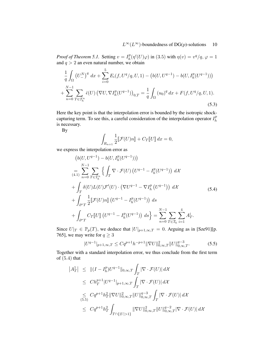*Proof of Theorem 5.1.* Setting  $v = I_h^p$  $h^p_h(\eta'(U)\varphi)$  in (3.5) with  $\eta(v) = v^q/q$ ,  $\varphi = 1$ and  $q > 2$  an even natural number, we obtain

$$
\frac{1}{q} \int_{\Omega} \left( U_{-}^{N} \right)^{q} dx + \sum_{i=0}^{5} E_{i}(f, U^{q}/q, U, 1) - \left( b(U, U^{q-1}) - b(U, I_{h}^{p}(U^{q-1})) \right) \n+ \sum_{n=0}^{N-1} \sum_{T \in \mathcal{T}_{h}^{n}} \hat{\epsilon}(U) \left( \nabla U, \nabla I_{h}^{p}(U^{q-1}) \right)_{0,T} = \frac{1}{q} \int_{\Omega} (u_{0})^{q} dx + F(f, U^{q}/q, U, 1).
$$
\n(5.3)

Here the key point is that the interpolation error is bounded by the isotropic shockcapturing term. To see this, a careful consideration of the interpolation operator  $I_h^p$ h is necessary.

By

$$
\int_{R_{n+1}} \frac{1}{2} \llbracket \mathcal{F}(U)n \rrbracket + C_T \llbracket U \rrbracket \, dx = 0,
$$

we express the interpolation error as

$$
(b(U, U^{q-1}) - b(U, I_h^p(U^{q-1})))
$$
  
\n
$$
= \sum_{q=0}^{N-1} \sum_{T \in \mathcal{T}_h^n} \left\{ \int_T \nabla \cdot \mathcal{F}(U) \left( U^{q-1} - I_h^p(U^{q-1}) \right) d\mathcal{X} \right\}
$$
  
\n
$$
+ \int_T \delta(U) L(U) \mathcal{F}'(U) \cdot \left( \nabla U^{q-1} - \nabla I_h^p(U^{q-1}) \right) d\mathcal{X}
$$
  
\n
$$
+ \int_{\partial^* T} \frac{1}{2} \left[ \mathcal{F}(U) n \right] \left( U^{q-1} - I_h^p(U^{q-1}) \right) ds
$$
  
\n
$$
+ \int_{\partial^* T} C_T \left[ U \right] \left( U^{q-1} - I_h^p(U^{q-1}) \right) ds \} = \sum_{n=0}^{N-1} \sum_{T \in \mathcal{T}_h} \sum_{i=1}^4 A_T^i.
$$
 (5.4)

Since  $U|_{T} \in \mathbb{P}_p(T)$ , we deduce that  $|U|_{p+1,\infty,T} = 0$ . Arguing as in [Sze91][p. 765], we may write for  $q \ge 3$ 

$$
|U^{q-1}|_{p+1,\infty,T} \le Cq^{p+1} h^{-p+1} \|\nabla U\|_{0,\infty,T}^2 \|U\|_{0,\infty,T}^{q-3}.
$$
 (5.5)

Together with a standard interpolation error, we thus conclude from the first term of  $(5.4)$  that

$$
\begin{aligned}\n\left|A_T^1\right| &\leq \|(I - I_h^p)U^{q-1}\|_{0,\infty,T} \int_T \left|\nabla\cdot\mathcal{F}(U)\right| d\mathcal{X} \\
&\leq Ch_T^{p+1}|U^{q-1}|_{p+1,\infty,T} \int_T \left|\nabla\cdot\mathcal{F}(U)\right| d\mathcal{X} \\
&\leq C q^{p+1} h_T^2 \|\nabla U\|_{0,\infty,T}^2 \|U\|_{0,\infty,T}^{q-3} \int_T \left|\nabla\cdot\mathcal{F}(U)\right| d\mathcal{X} \\
&\leq C q^{p+1} h_T^2 \int_{T \cap \{|U| > 1\}} \|\nabla U\|_{0,\infty,T}^2 \|U\|_{0,\infty,T}^{q-2} \left|\nabla\cdot\mathcal{F}(U)\right| d\mathcal{X}\n\end{aligned}
$$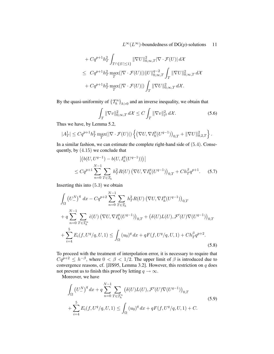$$
+ C q^{p+1} h_T^2 \int_{T \cap \{|U| \le 1\}} ||\nabla U||_{0,\infty,T}^2 |\nabla \cdot \mathcal{F}(U)| d\mathcal{X}
$$
  
\n
$$
\le C q^{p+1} h_T^2 \max_T (|\nabla \cdot \mathcal{F}(U)|) ||U||_{0,\infty,T}^{q-2} \int_T ||\nabla U||_{0,\infty,T}^2 d\mathcal{X}
$$
  
\n
$$
+ C q^{p+1} h_T^2 \max_T (|\nabla \cdot \mathcal{F}(U)|) \int_T ||\nabla U||_{0,\infty,T}^2 d\mathcal{X}.
$$

By the quasi-uniformity of  $\{T_h^n\}_{h>0}$  and an inverse inequality, we obtain that

$$
\int_{T} \|\nabla v\|_{0,\infty,T}^{2} d\mathcal{X} \leq C \int_{T} \|\nabla v\|_{l^{2}}^{2} d\mathcal{X}.
$$
\n(5.6)

Thus we have, by Lemma 5.2,

$$
|A_T^1| \leq C q^{p+1} h_T^2 \max_T(|\nabla \cdot \mathcal{F}(U)|) \left\{ \left( \nabla U, \nabla I^p_h (U^{q-1}) \right)_{0,T} + \|\nabla U\|_{0,2,T}^2 \right\}.
$$

In a similar fashion, we can estimate the complete right-hand side of (5.4). Consequently, by (4.15) we conclude that

$$
\left| \left( b(U, U^{q-1}) - b(U, I_h^p(U^{q-1})) \right) \right|
$$
  
\n
$$
\leq C q^{p+1} \sum_{n=0}^{N-1} \sum_{T \in \mathcal{T}_h} h_T^2 R(U) \left( \nabla U, \nabla I_h^p(U^{q-1}) \right)_{0,T} + C h_T^{\beta} q^{p+1}.
$$
 (5.7)

Inserting this into  $(5.3)$  we obtain

$$
\int_{\Omega} \left( U_{-}^{N} \right)^{q} dx - C q^{p+2} \sum_{n=0}^{N-1} \sum_{T \in \mathcal{T}_{h}} h_{T}^{2} R(U) \left( \nabla U, \nabla I_{h}^{p} (U^{q-1}) \right)_{0,T}
$$
\n
$$
+ q \sum_{n=0}^{N-1} \sum_{T \in \mathcal{T}_{h}^{n}} \hat{\epsilon}(U) \left( \nabla U, \nabla I_{h}^{p} (U^{q-1}) \right)_{0,T} + \left( \delta(U) L(U), \mathcal{F}'(U) \nabla(U^{q-1}) \right)_{0,T}
$$
\n
$$
+ \sum_{i=4}^{5} E_{i}(f, U^{q}/q, U, 1) \leq \int_{\Omega} (u_{0})^{q} dx + q F(f, U^{q}/q, U, 1) + C h_{T}^{\beta} q^{p+2}.
$$
\n(5.8)

To proceed with the treatment of interpolation error, it is necessary to require that  $Cq^{p+2} \leq h^{-\beta}$ , where  $0 < \beta < 1/2$ . The upper limit of  $\beta$  is introduced due to convergence reasons, cf. [JJS95, Lemma 3.2]. However, this restriction on  $q$  does not prevent us to finish this proof by letting  $q \to \infty$ .

Moreover, we have

$$
\int_{\Omega} (U_{-}^{N})^{q} dx + q \sum_{n=0}^{N-1} \sum_{T \in \mathcal{T}_{h}^{n}} (\delta(U)L(U), \mathcal{F}'(U)\nabla(U^{q-1}))_{0,T}
$$
\n
$$
+ \sum_{i=4}^{5} E_{i}(f, U^{q}/q, U, 1) \le \int_{\Omega} (u_{0})^{q} dx + qF(f, U^{q}/q, U, 1) + C.
$$
\n(5.9)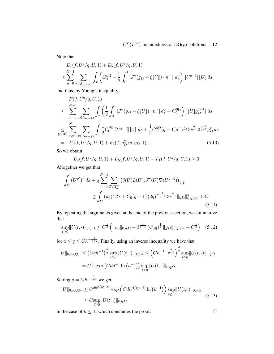Note that

$$
E_4(f, U^q/q, U, 1) + E_5(f, U^q/q, U, 1)
$$
  
\n
$$
\geq \sum_{n=0}^{N-1} \sum_{\tau \in \Lambda_{n,n+1}} \int_{\tau} \left( C_0^{\partial \Omega} - \frac{1}{2} \int_0^1 |\mathcal{F}'(g_D + \xi \llbracket U \rrbracket) \cdot n^+ | d\xi \right) \llbracket U^{q-1} \rrbracket \llbracket U \rrbracket \, ds,
$$

and thus, by Young's inequality,

$$
F(f, U^q/q, U, 1)
$$
  
\n
$$
\leq \sum_{n=0}^{N-1} \sum_{\tau \in \Lambda_{n,n+1}} \int_{\tau} \left( \frac{1}{2} \int_0^1 |\mathcal{F}'(g_D + \xi \| U\|) \cdot n^+ | d\xi + C_0^{\partial \Omega} \right) ||[U]g_D^{q-1}| ds
$$
  
\n
$$
\leq \sum_{n=0}^{N-1} \sum_{\tau \in \Lambda_{n,n+1}} \int_{\tau} \frac{1}{2} C_0^{\partial \Omega} [[U^{q-1}]] [[U] ] ds + \frac{1}{2} C_0^{\partial \Omega} (q-1) q^{-\frac{q}{q-1}} 3^{\frac{q}{q-1}} 2^{\frac{q-2}{q-1}} g_D^q ds
$$
  
\n
$$
= F_1(f, U^q/q, U, 1) + F_2(f, g_D^q/q, g_D, 1).
$$
\n(5.10)

So we obtain

$$
E_4(f, U^q/q, U, 1) + E_5(f, U^q/q, U, 1) - F_1(f, U^q/q, U, 1) \ge 0.
$$

Altogether we get that

$$
\int_{\Omega} \left( U_{-}^{N} \right)^{q} dx + q \sum_{n=0}^{N-1} \sum_{T \in \mathcal{T}_{h}^{n}} \left( \delta(U) L(U), \mathcal{F}'(U) \nabla(U^{q-1}) \right)_{0,T}
$$
\n
$$
\leq \int_{\Omega} (u_{0})^{q} dx + C_{0}(q-1) (2q)^{-\frac{1}{q-1}} 3^{\frac{q}{q-1}} ||g_{D}||_{0,q,\Sigma_{T}}^{q} + C. \tag{5.11}
$$

By repeating the arguments given at the end of the previous section, we summarize that

$$
\sup_{t\geq 0} ||U(t, \cdot)||_{0,q,\Omega} \leq C^{\frac{1}{q}} \left( ||u_0||_{0,q,\Omega} + 3^{\frac{1}{q-1}} (C_0 q)^{\frac{1}{q}} ||g_D||_{0,q,\Sigma_T} + C^{\frac{1}{q}} \right) (5.12)
$$

for  $4 \le q \le Ch^{-\frac{\beta}{p+2}}$ . Finally, using an inverse inequality we have that

$$
||U||_{0,\infty,Q_T} \le (Cqh^{-1})^{\frac{d}{q}} \sup_{t\ge 0} ||U(t,\cdot)||_{0,q,\Omega} \le (Ch^{-1-\frac{\beta}{p+2}})^{\frac{d}{q}} \sup_{t\ge 0} ||U(t,\cdot)||_{0,q,\Omega}
$$
  
=  $C^{\frac{d}{q}} \exp (Cdq^{-1}\ln (h^{-1})) \sup_{t\ge 0} ||U(t,\cdot)||_{0,q,\Omega}.$ 

Setting  $q = Ch^{-\frac{\beta}{p+2}}$  we get

$$
||U||_{0,\infty,Q_T} \leq C^{dh^{\beta/(p+2)}} \exp\left(Cdh^{\beta/(p+2)}\ln\left(h^{-1}\right)\right) \sup_{t\geq 0} ||U(t,\cdot)||_{0,q,\Omega}
$$
  
\$\leq C \sup\_{t\geq 0} ||U(t,\cdot)||\_{0,q,\Omega}\$ (5.13)

in the case of  $h \leq 1$ , which concludes the proof.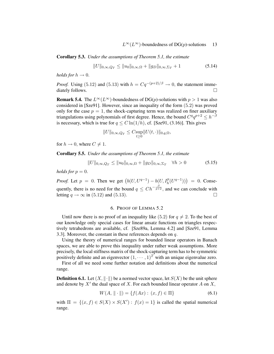Corollary 5.3. *Under the assumptions of Theorem 5.1, the estimate*

$$
||U||_{0,\infty,Q_T} \le ||u_0||_{0,\infty,\Omega} + ||g_D||_{0,\infty,\Sigma_T} + 1
$$
\n(5.14)

*holds for*  $h \to 0$ .

*Proof.* Using (5.12) and (5.13) with  $h = Cq^{-(p+2)/\beta} \rightarrow 0$ , the statement immediately follows.

**Remark 5.4.** The  $L^{\infty}(L^{\infty})$ -boundedness of DG(p)-solutions with  $p > 1$  was also considered in [Sze91]. However, since an inequality of the form (5.2) was proved only for the case  $p = 1$ , the shock-capturing term was realized on finer auxiliary triangulations using polynomials of first degree. Hence, the bound  $C^q q^{p+2} \leq h^{-\beta}$ is necessary, which is true for  $q \leq C \ln(1/h)$ , cf. [Sze91, (3.16)]. This gives

$$
||U||_{0,\infty,Q_T} \leq C \sup_{t \geq 0} ||U(t,\cdot)||_{0,q,\Omega},
$$

for  $h \to 0$ , where  $C \neq 1$ .

Corollary 5.5. *Under the assumptions of Theorem 5.1, the estimate*

$$
||U||_{0,\infty,Q_T} \le ||u_0||_{0,\infty,\Omega} + ||g_D||_{0,\infty,\Sigma_T} \quad \forall h > 0 \tag{5.15}
$$

*holds for*  $p = 0$ .

*Proof.* Let  $p = 0$ . Then we get  $(b(U, U^{q-1}) - b(U, I_h^p(U^{q-1}))) = 0$ . Consequently, there is no need for the bound  $q \leq Ch^{-\frac{\beta}{p+2}}$ , and we can conclude with letting  $q \rightarrow \infty$  in (5.12) and (5.13).

## 6. PROOF OF LEMMA 5.2

Until now there is no proof of an inequality like (5.2) for  $q \neq 2$ . To the best of our knowledge only special cases for linear ansatz functions on triangles respectively tetrahedrons are available, cf. [Sze89a, Lemma 4.2] and [Sze91, Lemma 3.3]. Moreover, the constant in these references depends on  $q$ .

Using the theory of numerical ranges for bounded linear operators in Banach spaces, we are able to prove this inequality under rather weak assumptions. More precisely, the local stiffness matrix of the shock-capturing term has to be symmetric positively definite and an eigenvector  $(1, \dots, 1)^T$  with an unique eigenvalue zero.

First of all we need some further notation and definitions about the numerical range.

**Definition 6.1.** Let  $(X, \|\cdot\|)$  be a normed vector space, let  $S(X)$  be the unit sphere and denote by  $X'$  the dual space of X. For each bounded linear operator A on X,

$$
W(A, \| \cdot \|) = \{ f(Ax) : (x, f) \in \Pi \}
$$
\n(6.1)

with  $\Pi = \{(x, f) \in S(X) \times S(X') : f(x) = 1\}$  is called the spatial numerical range.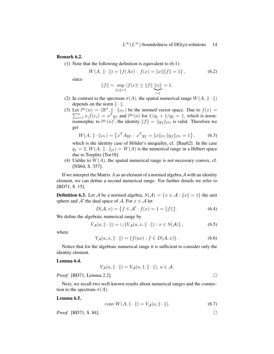## Remark 6.2.

(1) Note that the following definition is equivalent to (6.1):

$$
W(A, \| \cdot \|) = \{ f(Ax) : f(x) = \|x\| \|f\| = 1 \},
$$
\n(6.2)

since

$$
||f|| = \sup_{||x||=1} |f(x)| \le ||f|| \underbrace{||x||}_{=1} = 1.
$$

- (2) In contrast to the spectrum  $\sigma(A)$ , the spatial numerical range  $W(A, \|\cdot\|)$ depends on the norm  $\|\cdot\|$ .
- (3) Let  $l^{q_1}(n) = (\mathbb{R}^n, || \cdot ||_l)$  $\sum$ t  $l^{q_1}(n) = (\mathbb{R}^n, \|\cdot\|_{l^{q_1}})$  be the normed vector space. Due to  $f(x) =$ <br> $\sum_{i=1}^n x_i f(e_i) = x^T y_f$  and  $l^{q_2}(n)$  for  $1/q_1 + 1/q_2 = 1$ , which is normisomorphic to  $l^{q_1}(n)$ , the identity  $||f|| = ||y_f||_{l^{q_2}}$  is valid. Therefore we get

$$
W(A, \| \cdot \|_{l^{q_1}}) = \left\{ x^T A y_f : x^T y_f = \|x\|_{l^{q_1}} \|y_f\|_{l^{q_2}} = 1 \right\},\tag{6.3}
$$

which is the identity case of Hölder's inequality, cf. [Bau62]. In the case  $q_1 = 2, W(A, \| \cdot \|_{l^2}) = W(A)$  is the numerical range in a Hilbert space due to Toeplitz [Toe18].

(4) Unlike to  $W(A)$ , the spatial numerical range is not necessary convex, cf. [NS64, S. 357].

If we interpret the Matrix  $A$  as an element of a normed algebra  $A$  with an identity element, we can define a second numerical range. For further details we refer to [BD71, S. 15].

**Definition 6.3.** Let A be a normed algebra,  $S(A) = \{x \in A : ||x|| = 1\}$  the unit sphere and  $A'$  the dual space of A. For  $x \in A$  let

$$
D(\mathcal{A}, x) = \{ f \in \mathcal{A}' : f(x) = 1 = ||f|| \}.
$$
 (6.4)

We define the algebraic numerical range by

$$
V_{\mathcal{A}}(a, \|\cdot\|) = \cup \{ V_{\mathcal{A}}(a, x, \|\cdot\|) : x \in S(\mathcal{A}) \},
$$
\n(6.5)

where

$$
V_{\mathcal{A}}(a, x, \| \cdot \|) = \{ f(ax) : f \in D(\mathcal{A}, x) \}.
$$
 (6.6)

Notice that for the algebraic numerical range it is sufficient to consider only the identity element.

#### Lemma 6.4.

$$
V_{\mathcal{A}}(a, \|\cdot\|) = V_{\mathcal{A}}(a, 1, \|\cdot\|), a \in \mathcal{A}.
$$

*Proof.* [BD71, Lemma 2.2]. □

Next, we recall two well-known results about numerical ranges and the connection to the spectrum  $\sigma(A)$ .

## Lemma 6.5.

$$
conv W(A, \|\cdot\|) = V_{\mathcal{A}}(a, \|\cdot\|). \tag{6.7}
$$

*Proof.* [BD71, S. 84]. □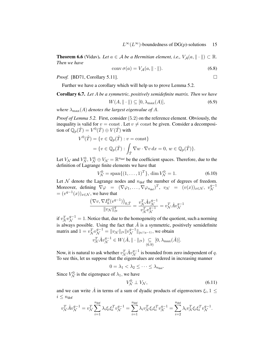**Theorem 6.6** (Vidav). Let  $a \in A$  be a Hermitian element, i.e.,  $V_A(a, \|\cdot\|) \subset \mathbb{R}$ . *Then we have*

$$
conv \sigma(a) = V_{\mathcal{A}}(a, \|\cdot\|). \tag{6.8}
$$

*Proof.* [BD71, Corollary 5.11]. □

Further we have a corollary which will help us to prove Lemma 5.2.

Corollary 6.7. *Let* A *be a symmetric, positively semidefinite matrix. Then we have*

$$
W(A, \|\cdot\|) \subseteq [0, \lambda_{\max}(A)],\tag{6.9}
$$

*where*  $\lambda_{\text{max}}(A)$  *denotes the largest eigenvalue of A.* 

*Proof of Lemma 5.2.* First, consider (5.2) on the reference element. Obviously, the inequality is valid for  $v = \text{const}$ . Let  $v \neq \text{const}$  be given. Consider a decomposition of  $\overline{\mathbb{Q}}_p(\hat{T}) = V^0(\hat{T}) \oplus V(\hat{T})$  with

$$
V^{0}(\hat{T}) = \{ v \in \mathbb{Q}_{p}(\hat{T}) : v = \text{const} \}
$$
  
=  $\{ v \in \mathbb{Q}_{p}(\hat{T}) : \int_{\hat{T}} \nabla w \cdot \nabla v \, dx = 0, w \in \mathbb{Q}_{p}(\hat{T}) \}.$ 

Let  $V_N$  and  $V_N^0$ ,  $V_N^0 \oplus V_N = \mathbb{R}^{n_{\text{dof}}}$  be the coefficient spaces. Therefore, due to the definition of Lagrange finite elements we have that

$$
V_N^0 = \text{span}\{(1, ..., 1)^T\}, \dim V_N^0 = 1.
$$
 (6.10)

Let  $N$  denote the Lagrange nodes and  $n_{\text{dof}}$  the number of degrees of freedom. Moreover, defining  $\nabla \varphi = (\nabla \varphi_1, \dots, \nabla \varphi_{n_{\text{dof}}})^T$ ,  $v_N = (v(x))_{x \in \mathcal{N}}$ ,  $v_N^{q-1}$ N  $=(v^{q-1}(x))_{x\in\mathcal{N}}$ , we have that

$$
\frac{\left(\nabla v,\nabla I^{p}_h(v^{q-1})\right)_{0,\hat{T}}}{\|v_{\mathcal{N}}\|_{l^q}^q}=\frac{v_{\mathcal{N}}^T\hat{A}v_{\mathcal{N}}^{q-1}}{v_{\mathcal{N}}^Tv_{\mathcal{N}}^{q-1}}=v_{\mathcal{N}}^T\hat{A}v_{\mathcal{N}}^{q-1}
$$

if  $v_N^T v_N^{q-1} = 1$ . Notice that, due to the homogeneity of the quotient, such a norming is always possible. Using the fact that  $\hat{A}$  is a symmetric, positively semidefinite matrix and  $1 = v^T_{\mathcal{N}} v^{q-1}_{\mathcal{N}} = ||v_{\mathcal{N}}||_{l^q} ||v^{q-1}_{\mathcal{N}}||_{l^{q/(q-1)}},$  we obtain

$$
v_{\mathcal{N}}^T \hat{A} v_{\mathcal{N}}^{q-1} \in W(\hat{A}, \|\cdot\|_{l^q}) \underset{(6.9)}{\subseteq} [0, \lambda_{\max}(\hat{A})].
$$

Now, it is natural to ask whether  $v_N^T \hat{A} v_N^{q-1}$  is bounded from zero independent of q. To see this, let us suppose that the eigenvalues are ordered in increasing manner

$$
0 = \lambda_1 < \lambda_2 \leq \cdots \leq \lambda_{n_{\text{dof}}}.
$$

Since  $V_N^0$  is the eigenspace of  $\lambda_1$ , we have

$$
V^0_{\mathcal{N}} \perp V_{\mathcal{N}},\tag{6.11}
$$

and we can write  $\hat{A}$  in terms of a sum of dyadic products of eigenvectors  $\xi_i, 1 \leq$  $i \leq n_{\text{dof}}$ 

$$
v_N^T \hat{A} v_N^{q-1} = v_N^T \sum_{i=1}^{n_{\text{dof}}} \lambda_i \xi_i \xi_i^T v_N^{q-1} = \sum_{i=1}^{n_{\text{dof}}} \lambda_i v_N^T \xi_i \xi_i^T v_N^{q-1} = \sum_{i=2}^{n_{\text{dof}}} \lambda_i v_N^T \xi_i \xi_i^T v_N^{q-1}.
$$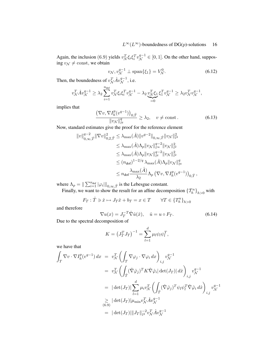Again, the inclusion (6.9) yields  $v_N^T \xi_i \xi_i^T v_N^{q-1} \in [0, 1]$ . On the other hand, supposing  $v_{\mathcal{N}} \neq \text{const}$ , we obtain

$$
v_{\mathcal{N}}, v_{\mathcal{N}}^{q-1} \perp \text{span}\{\xi_1\} = V_{\mathcal{N}}^0.
$$
 (6.12)

Then, the boundedness of  $v^T_{\mathcal{N}} \hat{A} v^{q-1}_{\mathcal{N}}$ , i.e.

$$
v_N^T \hat{A} v_N^{q-1} \geq \lambda_2 \sum_{i=1}^{n_{\text{dof}}} v_N^T \xi_i \xi_i^T v_N^{q-1} - \lambda_2 \underbrace{v_N^T \xi_1}_{=0} \xi_1^T v_N^{q-1} \geq \lambda_2 v_N^T v_N^{q-1},
$$

implies that

$$
\frac{\left(\nabla v, \nabla I_h^p(v^{q-1})\right)_{0,\hat{T}}}{\|v_{\mathcal{N}}\|_{l^q}^q} \ge \lambda_2, \quad v \ne \text{const.}
$$
\n(6.13)

Now, standard estimates give the proof for the reference element

$$
\|v\|_{0,\infty,\hat{T}}^{q-2} \|\nabla v\|_{0,2,\hat{T}}^2 \leq \lambda_{\max}(\hat{A}) \|v^{q-2}\|_{0,\infty,\hat{T}} \|v_{\mathcal{N}}\|_{l^2}^2
$$
  
\n
$$
\leq \lambda_{\max}(\hat{A}) \Lambda_p \|v_{\mathcal{N}}\|_{l^{\infty}}^{q-2} \|v_{\mathcal{N}}\|_{l^2}^2
$$
  
\n
$$
\leq \lambda_{\max}(\hat{A}) \Lambda_p \|v_{\mathcal{N}}\|_{l^q}^{q-2} \|v_{\mathcal{N}}\|_{l^2}^2
$$
  
\n
$$
\leq (n_{\text{dof}})^{1-2/q} \lambda_{\max}(\hat{A}) \Lambda_p \|v_{\mathcal{N}}\|_{l^q}^q
$$
  
\n
$$
\leq n_{\text{dof}} \frac{\lambda_{\max}(\hat{A})}{\lambda_2} \Lambda_p (\nabla v, \nabla I_p^p(v^{q-1}))_{0,\hat{T}},
$$

where  $\Lambda_p = \|\sum_{i=1}^{n_{\text{dof}}} |\varphi_i||_{0,\infty,\hat{T}}$  is the Lebesgue constant.

Finally, we want to show the result for an affine decomposition  $\{T_h^n\}_{h>0}$  with

$$
F_T: \hat{T} \ni \hat{x} \mapsto J_T \hat{x} + b_T = x \in T \qquad \forall T \in \{T_h^n\}_{h>0}
$$

and therefore

$$
\nabla u(x) = J_T^{-T} \hat{\nabla} \hat{u}(\hat{x}), \quad \hat{u} = u \circ F_T.
$$
 (6.14)

Due to the spectral decomposition of

$$
K = (J_T^T J_T)^{-1} = \sum_{l=1}^d \mu_l \psi_l \psi_l^T,
$$

we have that

$$
\int_{T} \nabla v \cdot \nabla I_{h}^{p}(v^{q-1}) dx = v_{\mathcal{N}}^{T} \left( \int_{T} \nabla \varphi_{j} \cdot \nabla \varphi_{i} dx \right)_{i,j} v_{\mathcal{N}}^{q-1}
$$
\n
$$
= v_{\mathcal{N}}^{T} \left( \int_{\hat{T}} (\hat{\nabla} \hat{\varphi}_{j})^{T} K \hat{\nabla} \hat{\varphi}_{i} | \det(J_{T}) | d\hat{x} \right)_{i,j} v_{\mathcal{N}}^{q-1}
$$
\n
$$
= |\det(J_{T})| \sum_{l=1}^{d} \mu_{i} v_{\mathcal{N}}^{T} \left( \int_{\hat{T}} (\hat{\nabla} \hat{\varphi}_{j})^{T} \psi_{l} \psi_{l}^{T} \hat{\nabla} \hat{\varphi}_{i} d\hat{x} \right)_{i,j} v_{\mathcal{N}}^{q-1}
$$
\n
$$
\geq |\det(J_{T})| \mu_{\min} v_{\mathcal{N}}^{T} \hat{A} v_{\mathcal{N}}^{q-1}
$$
\n
$$
= |\det(J_{T})| \|J_{T}\|_{l^{2}}^{-2} v_{\mathcal{N}}^{T} \hat{A} v_{\mathcal{N}}^{q-1}
$$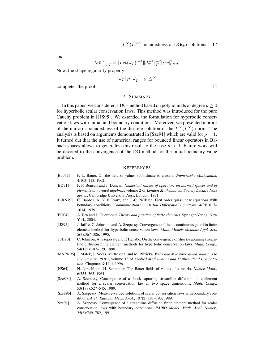and

$$
|\hat{\nabla}\hat{v}|_{0,2,\hat{T}}^2 \geq |\det(J_T)|^{-1} \|J_T^{-1}\|_{l^2}^{-2} |\nabla v|_{0,2,T}^2.
$$

Now, the shape regularity property

$$
||J_T||_{l^2}||J_T^{-1}||_{l^2} \leq C
$$

completes the proof.

## 7. SUMMARY

In this paper, we considered a DG-method based on polynomials of degree  $p \geq 0$ for hyperbolic scalar conservation laws. This method was introduced for the pure Cauchy problem in [JJS95]. We extended the formulation for hyperbolic conservation laws with initial and boundary conditions. Moreover, we presented a proof of the uniform boundedness of the discrete solution in the  $L^{\infty}(L^{\infty})$ -norm. The analysis is based on arguments demonstrated in [Sze91] which are valid for  $p = 1$ . It turned out that the use of numerical ranges for bounded linear operators in Banach spaces allows to generalize this result to the case  $p > 1$ . Future work will be devoted to the convergence of the DG-method for the initial-boundary value problem.

#### **REFERENCES**

- [Bau62] F. L. Bauer. On the field of values subordinate to a norm. *Numerische Mathematik*, 4:103–113, 1962.
- [BD71] F. F. Bonsall and J. Duncan. *Numerical ranges of operators on normed spaces and of elements of normed algebras*, volume 2 of *London Mathematical Society Lecture Note Series*. Cambridge University Press, London, 1971.
- [BlRN79] C. Bardos, A. Y. le Roux, and J.-C. Nédélec. First order quasilinear equations with boundary conditions. *Communications in Partial Differential Equations*, 4(9):1017– 1034, 1979.
- [EG04] A. Ern and J. Guermond. *Theory and practice of finite elements*. Springer-Verlag, New York, 2004.
- [JJS95] J. Jaffre, C. Johnson, and A. Szepessy. Convergence of the discontinuous galerkin finite ´ element method for hyperbolic conservation laws. *Math. Models Methods Appl. Sci.*, 5(3):367–386, 1995.
- [JSH90] C. Johnson, A. Szepessy, and P. Hansbo. On the convergence of shock-capturing streamline diffusion finite element methods for hyperbolic conservation laws. *Math. Comp.*, 54(189):107–129, 1990.
- [MNRR96] J. Malek, J. Nečas, M. Rokyta, and M. Růžička. Weak and Measure-valued Solutions to *Evolutionary PDEs*, volume 13 of *Applied Mathematics and Mathematical Computation*. Chapman & Hall, 1996.
- [NS64] N. Nirschl and H. Schneider. The Bauer fields of values of a matrix. *Numer. Math.*, 6:355–365, 1964.
- [Sze89a] A. Szepessy. Convergence of a shock-capturing streamline diffusion finite element method for a scalar conservation law in two space dimensions. *Math. Comp.*, 53(188):527–545, 1989.
- [Sze89b] A. Szepessy. Measure-valued solutions of scalar conservation laws with boundary conditions. *Arch. Rational Mech. Anal.*, 107(2):181–193, 1989.
- [Sze91] A. Szepessy. Convergence of a streamline diffusion finite element method for scalar conservation laws with boundary conditions. *RAIRO Modél. Math. Anal. Numér.*, 25(6):749–782, 1991.